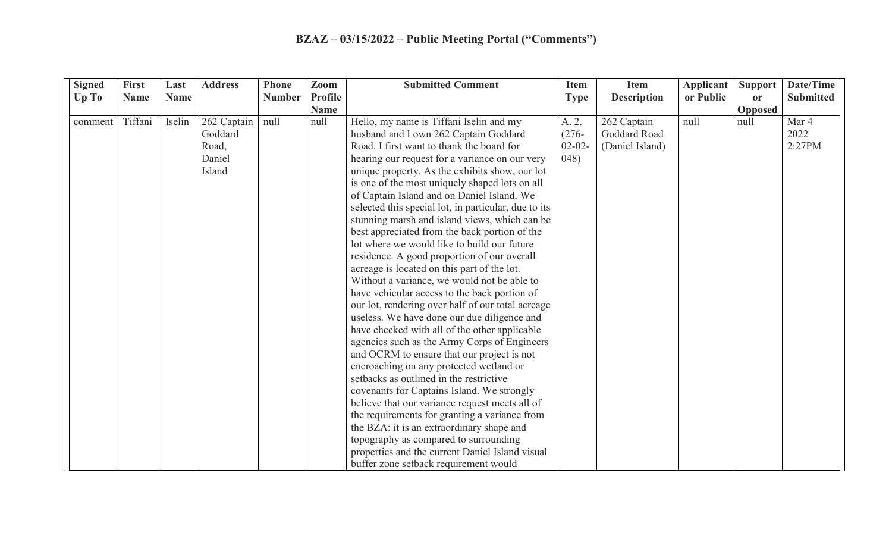| <b>Signed</b> | <b>First</b> | Last        | <b>Address</b> | Phone         | Zoom                          | <b>Submitted Comment</b>                             | <b>Item</b> | <b>Item</b>        | <b>Applicant</b> | Support       | Date/Time        |
|---------------|--------------|-------------|----------------|---------------|-------------------------------|------------------------------------------------------|-------------|--------------------|------------------|---------------|------------------|
| Up To         | <b>Name</b>  | <b>Name</b> |                | <b>Number</b> | <b>Profile</b><br><b>Name</b> |                                                      | <b>Type</b> | <b>Description</b> | or Public        | or<br>Opposed | <b>Submitted</b> |
| comment       | Tiffani      | Iselin      | 262 Captain    | null          | null                          | Hello, my name is Tiffani Iselin and my              | A. 2.       | 262 Captain        | null             | null          | Mar 4            |
|               |              |             | Goddard        |               |                               | husband and I own 262 Captain Goddard                | $(276 -$    | Goddard Road       |                  |               | 2022             |
|               |              |             | Road,          |               |                               | Road. I first want to thank the board for            | $02 - 02 -$ | (Daniel Island)    |                  |               | 2:27PM           |
|               |              |             | Daniel         |               |                               | hearing our request for a variance on our very       | (048)       |                    |                  |               |                  |
|               |              |             | Island         |               |                               | unique property. As the exhibits show, our lot       |             |                    |                  |               |                  |
|               |              |             |                |               |                               | is one of the most uniquely shaped lots on all       |             |                    |                  |               |                  |
|               |              |             |                |               |                               | of Captain Island and on Daniel Island. We           |             |                    |                  |               |                  |
|               |              |             |                |               |                               | selected this special lot, in particular, due to its |             |                    |                  |               |                  |
|               |              |             |                |               |                               | stunning marsh and island views, which can be        |             |                    |                  |               |                  |
|               |              |             |                |               |                               | best appreciated from the back portion of the        |             |                    |                  |               |                  |
|               |              |             |                |               |                               | lot where we would like to build our future          |             |                    |                  |               |                  |
|               |              |             |                |               |                               | residence. A good proportion of our overall          |             |                    |                  |               |                  |
|               |              |             |                |               |                               | acreage is located on this part of the lot.          |             |                    |                  |               |                  |
|               |              |             |                |               |                               | Without a variance, we would not be able to          |             |                    |                  |               |                  |
|               |              |             |                |               |                               | have vehicular access to the back portion of         |             |                    |                  |               |                  |
|               |              |             |                |               |                               | our lot, rendering over half of our total acreage    |             |                    |                  |               |                  |
|               |              |             |                |               |                               | useless. We have done our due diligence and          |             |                    |                  |               |                  |
|               |              |             |                |               |                               | have checked with all of the other applicable        |             |                    |                  |               |                  |
|               |              |             |                |               |                               | agencies such as the Army Corps of Engineers         |             |                    |                  |               |                  |
|               |              |             |                |               |                               | and OCRM to ensure that our project is not           |             |                    |                  |               |                  |
|               |              |             |                |               |                               | encroaching on any protected wetland or              |             |                    |                  |               |                  |
|               |              |             |                |               |                               | setbacks as outlined in the restrictive              |             |                    |                  |               |                  |
|               |              |             |                |               |                               | covenants for Captains Island. We strongly           |             |                    |                  |               |                  |
|               |              |             |                |               |                               | believe that our variance request meets all of       |             |                    |                  |               |                  |
|               |              |             |                |               |                               | the requirements for granting a variance from        |             |                    |                  |               |                  |
|               |              |             |                |               |                               | the BZA: it is an extraordinary shape and            |             |                    |                  |               |                  |
|               |              |             |                |               |                               | topography as compared to surrounding                |             |                    |                  |               |                  |
|               |              |             |                |               |                               | properties and the current Daniel Island visual      |             |                    |                  |               |                  |
|               |              |             |                |               |                               | buffer zone setback requirement would                |             |                    |                  |               |                  |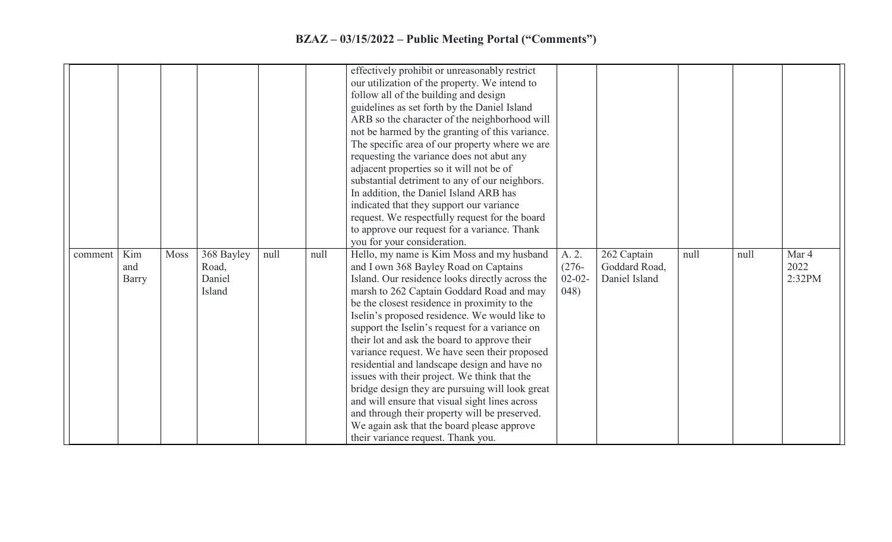## **BZAZ – 03/15/2022 – Public Meeting Portal ("Comments")**